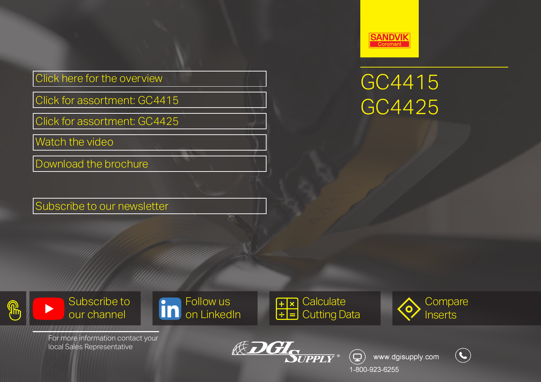[Click here for the overview](https://www.sandvik.coromant.com/en-us/products/turning-inserts-grades-steel/pages/default.aspx?utm_source=pg&utm_medium=pdf&utm_campaign=238)

[Click for assortment: GC4415](https://www.sandvik.coromant.com/en-us/pages/search15products.aspx?tpcleaf=INSTRNG_COR&q=4415&utm_source=pg&utm_medium=pdf&utm_campaign=238)

[Click for assortment: GC4425](https://www.sandvik.coromant.com/en-us/pages/search15products.aspx?tpcleaf=INSTRNG_COR&q=4425&utm_source=pg&utm_medium=pdf&utm_campaign=238)

[Watch the video](https://www.youtube.com/watch?v=IfUNXbVMSms)

[Download the brochure](https://api.dgisupply.ca/uploads/literature/ADhhhHAjeuIkCkPR7iorVOP8xs3AXyV9UQXEqmat.pdf)

[Subscribe to our newsletter](https://www.dgisupply.ca/register)



# GC4415 GC4425











For more information contact your local Sales Representative



<www.dgisupply.com> $\left(\bigodot\right)$ 

1-800-923-6255